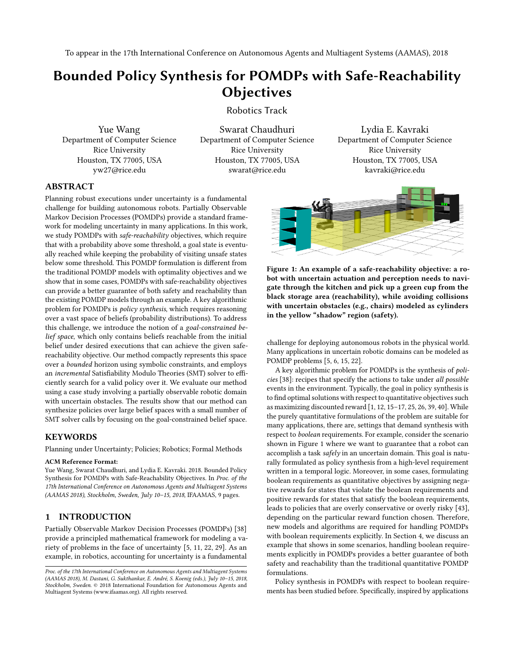# Bounded Policy Synthesis for POMDPs with Safe-Reachability **Objectives**

Robotics Track

Yue Wang Department of Computer Science Rice University Houston, TX 77005, USA yw27@rice.edu

Swarat Chaudhuri Department of Computer Science Rice University Houston, TX 77005, USA swarat@rice.edu

Lydia E. Kavraki Department of Computer Science Rice University Houston, TX 77005, USA kavraki@rice.edu

# ABSTRACT

Planning robust executions under uncertainty is a fundamental challenge for building autonomous robots. Partially Observable Markov Decision Processes (POMDPs) provide a standard framework for modeling uncertainty in many applications. In this work, we study POMDPs with safe-reachability objectives, which require that with a probability above some threshold, a goal state is eventually reached while keeping the probability of visiting unsafe states below some threshold. This POMDP formulation is different from the traditional POMDP models with optimality objectives and we show that in some cases, POMDPs with safe-reachability objectives can provide a better guarantee of both safety and reachability than the existing POMDP models through an example. A key algorithmic problem for POMDPs is policy synthesis, which requires reasoning over a vast space of beliefs (probability distributions). To address this challenge, we introduce the notion of a goal-constrained belief space, which only contains beliefs reachable from the initial belief under desired executions that can achieve the given safereachability objective. Our method compactly represents this space over a bounded horizon using symbolic constraints, and employs an incremental Satisfiability Modulo Theories (SMT) solver to efficiently search for a valid policy over it. We evaluate our method using a case study involving a partially observable robotic domain with uncertain obstacles. The results show that our method can synthesize policies over large belief spaces with a small number of SMT solver calls by focusing on the goal-constrained belief space.

# KEYWORDS

Planning under Uncertainty; Policies; Robotics; Formal Methods

#### ACM Reference Format:

Yue Wang, Swarat Chaudhuri, and Lydia E. Kavraki. 2018. Bounded Policy Synthesis for POMDPs with Safe-Reachability Objectives. In Proc. of the 17th International Conference on Autonomous Agents and Multiagent Systems (AAMAS 2018), Stockholm, Sweden, July 10–15, 2018, IFAAMAS, [9](#page-8-0) pages.

# 1 INTRODUCTION

Partially Observable Markov Decision Processes (POMDPs) [\[38\]](#page-8-1) provide a principled mathematical framework for modeling a variety of problems in the face of uncertainty [\[5,](#page-8-2) [11,](#page-8-3) [22,](#page-8-4) [29\]](#page-8-5). As an example, in robotics, accounting for uncertainty is a fundamental

<span id="page-0-0"></span>

Figure 1: An example of a safe-reachability objective: a robot with uncertain actuation and perception needs to navigate through the kitchen and pick up a green cup from the black storage area (reachability), while avoiding collisions with uncertain obstacles (e.g., chairs) modeled as cylinders in the yellow "shadow" region (safety).

challenge for deploying autonomous robots in the physical world. Many applications in uncertain robotic domains can be modeled as POMDP problems [\[5,](#page-8-2) [6,](#page-8-6) [15,](#page-8-7) [22\]](#page-8-4).

A key algorithmic problem for POMDPs is the synthesis of policies [\[38\]](#page-8-1): recipes that specify the actions to take under all possible events in the environment. Typically, the goal in policy synthesis is to find optimal solutions with respect to quantitative objectives such as maximizing discounted reward [\[1,](#page-8-8) [12,](#page-8-9) [15](#page-8-7)[–17,](#page-8-10) [25,](#page-8-11) [26,](#page-8-12) [39,](#page-8-13) [40\]](#page-8-14). While the purely quantitative formulations of the problem are suitable for many applications, there are, settings that demand synthesis with respect to boolean requirements. For example, consider the scenario shown in Figure [1](#page-0-0) where we want to guarantee that a robot can accomplish a task safely in an uncertain domain. This goal is naturally formulated as policy synthesis from a high-level requirement written in a temporal logic. Moreover, in some cases, formulating boolean requirements as quantitative objectives by assigning negative rewards for states that violate the boolean requirements and positive rewards for states that satisfy the boolean requirements, leads to policies that are overly conservative or overly risky [\[43\]](#page-8-15), depending on the particular reward function chosen. Therefore, new models and algorithms are required for handling POMDPs with boolean requirements explicitly. In Section [4,](#page-3-0) we discuss an example that shows in some scenarios, handling boolean requirements explicitly in POMDPs provides a better guarantee of both safety and reachability than the traditional quantitative POMDP formulations.

Policy synthesis in POMDPs with respect to boolean requirements has been studied before. Specifically, inspired by applications

Proc. of the 17th International Conference on Autonomous Agents and Multiagent Systems (AAMAS 2018), M. Dastani, G. Sukthankar, E. André, S. Koenig (eds.), July 10–15, 2018, Stockholm, Sweden. © 2018 International Foundation for Autonomous Agents and Multiagent Systems (www.ifaamas.org). All rights reserved.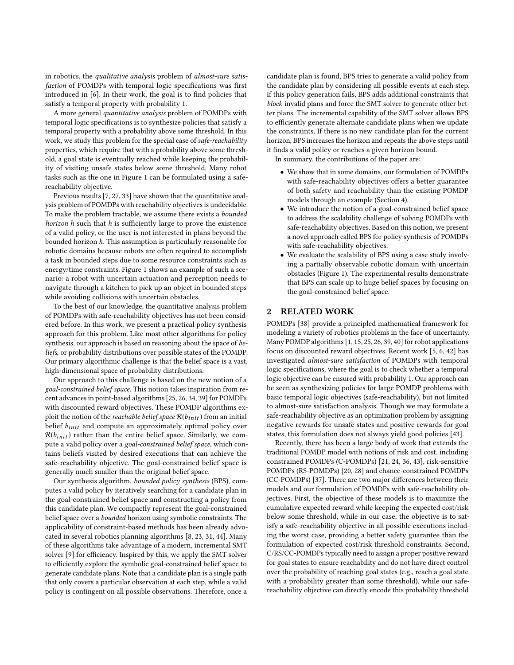in robotics, the qualitative analysis problem of almost-sure satisfaction of POMDPs with temporal logic specifications was first introduced in [\[6\]](#page-8-6). In their work, the goal is to find policies that satisfy a temporal property with probability 1.

A more general quantitative analysis problem of POMDPs with temporal logic specifications is to synthesize policies that satisfy a temporal property with a probability above some threshold. In this work, we study this problem for the special case of safe-reachability properties, which require that with a probability above some threshold, a goal state is eventually reached while keeping the probability of visiting unsafe states below some threshold. Many robot tasks such as the one in Figure [1](#page-0-0) can be formulated using a safereachability objective.

Previous results [\[7,](#page-8-16) [27,](#page-8-17) [33\]](#page-8-18) have shown that the quantitative analysis problem of POMDPs with reachability objectives is undecidable. To make the problem tractable, we assume there exists a bounded *horizon*  $h$  such that  $h$  is sufficiently large to prove the existence of a valid policy, or the user is not interested in plans beyond the bounded horizon h. This assumption is particularly reasonable for robotic domains because robots are often required to accomplish a task in bounded steps due to some resource constraints such as energy/time constraints. Figure [1](#page-0-0) shows an example of such a scenario: a robot with uncertain actuation and perception needs to navigate through a kitchen to pick up an object in bounded steps while avoiding collisions with uncertain obstacles.

To the best of our knowledge, the quantitative analysis problem of POMDPs with safe-reachability objectives has not been considered before. In this work, we present a practical policy synthesis approach for this problem. Like most other algorithms for policy synthesis, our approach is based on reasoning about the space of beliefs, or probability distributions over possible states of the POMDP. Our primary algorithmic challenge is that the belief space is a vast, high-dimensional space of probability distributions.

Our approach to this challenge is based on the new notion of a goal-constrained belief space. This notion takes inspiration from recent advances in point-based algorithms [\[25,](#page-8-11) [26,](#page-8-12) [34,](#page-8-19) [39\]](#page-8-13) for POMDPs with discounted reward objectives. These POMDP algorithms exploit the notion of the *reachable belief space*  $\mathcal{R}(b_{init})$  from an initial belief  $b_{init}$  and compute an approximately optimal policy over  $\mathcal{R}(b_{init})$  rather than the entire belief space. Similarly, we compute a valid policy over a goal-constrained belief space, which contains beliefs visited by desired executions that can achieve the safe-reachability objective. The goal-constrained belief space is generally much smaller than the original belief space.

Our synthesis algorithm, bounded policy synthesis (BPS), computes a valid policy by iteratively searching for a candidate plan in the goal-constrained belief space and constructing a policy from this candidate plan. We compactly represent the goal-constrained belief space over a bounded horizon using symbolic constraints. The applicability of constraint-based methods has been already advocated in several robotics planning algorithms [\[8,](#page-8-20) [23,](#page-8-21) [31,](#page-8-22) [44\]](#page-8-23). Many of these algorithms take advantage of a modern, incremental SMT solver [\[9\]](#page-8-24) for efficiency. Inspired by this, we apply the SMT solver to efficiently explore the symbolic goal-constrained belief space to generate candidate plans. Note that a candidate plan is a single path that only covers a particular observation at each step, while a valid policy is contingent on all possible observations. Therefore, once a

candidate plan is found, BPS tries to generate a valid policy from the candidate plan by considering all possible events at each step. If this policy generation fails, BPS adds additional constraints that block invalid plans and force the SMT solver to generate other better plans. The incremental capability of the SMT solver allows BPS to efficiently generate alternate candidate plans when we update the constraints. If there is no new candidate plan for the current horizon, BPS increases the horizon and repeats the above steps until it finds a valid policy or reaches a given horizon bound.

In summary, the contributions of the paper are:

- We show that in some domains, our formulation of POMDPs with safe-reachability objectives offers a better guarantee of both safety and reachability than the existing POMDP models through an example (Section [4\)](#page-3-0).
- We introduce the notion of a goal-constrained belief space to address the scalability challenge of solving POMDPs with safe-reachability objectives. Based on this notion, we present a novel approach called BPS for policy synthesis of POMDPs with safe-reachability objectives.
- We evaluate the scalability of BPS using a case study involving a partially observable robotic domain with uncertain obstacles (Figure [1\)](#page-0-0). The experimental results demonstrate that BPS can scale up to huge belief spaces by focusing on the goal-constrained belief space.

# 2 RELATED WORK

POMDPs [\[38\]](#page-8-1) provide a principled mathematical framework for modeling a variety of robotics problems in the face of uncertainty. Many POMDP algorithms [\[1,](#page-8-8) [15,](#page-8-7) [25,](#page-8-11) [26,](#page-8-12) [39,](#page-8-13) [40\]](#page-8-14) for robot applications focus on discounted reward objectives. Recent work [\[5,](#page-8-2) [6,](#page-8-6) [42\]](#page-8-25) has investigated almost-sure satisfaction of POMDPs with temporal logic specifications, where the goal is to check whether a temporal logic objective can be ensured with probability 1. Our approach can be seen as synthesizing policies for large POMDP problems with basic temporal logic objectives (safe-reachability), but not limited to almost-sure satisfaction analysis. Though we may formulate a safe-reachability objective as an optimization problem by assigning negative rewards for unsafe states and positive rewards for goal states, this formulation does not always yield good policies [\[43\]](#page-8-15).

Recently, there has been a large body of work that extends the traditional POMDP model with notions of risk and cost, including constrained POMDPs (C-POMDPs) [\[21,](#page-8-26) [24,](#page-8-27) [36,](#page-8-28) [43\]](#page-8-15), risk-sensitive POMDPs (RS-POMDPs) [\[20,](#page-8-29) [28\]](#page-8-30) and chance-constrained POMDPs (CC-POMDPs) [\[37\]](#page-8-31). There are two major differences between their models and our formulation of POMDPs with safe-reachability objectives. First, the objective of these models is to maximize the cumulative expected reward while keeping the expected cost/risk below some threshold, while in our case, the objective is to satisfy a safe-reachability objective in all possible executions including the worst case, providing a better safety guarantee than the formulation of expected cost/risk threshold constraints. Second, C/RS/CC-POMDPs typically need to assign a proper positive reward for goal states to ensure reachability and do not have direct control over the probability of reaching goal states (e.g., reach a goal state with a probability greater than some threshold), while our safereachability objective can directly encode this probability threshold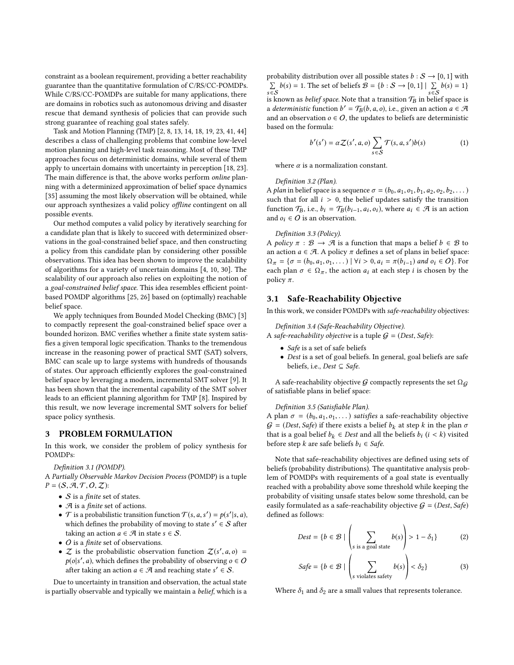constraint as a boolean requirement, providing a better reachability guarantee than the quantitative formulation of C/RS/CC-POMDPs. While C/RS/CC-POMDPs are suitable for many applications, there are domains in robotics such as autonomous driving and disaster rescue that demand synthesis of policies that can provide such strong guarantee of reaching goal states safely.

Task and Motion Planning (TMP) [\[2,](#page-8-32) [8,](#page-8-20) [13,](#page-8-33) [14,](#page-8-34) [18,](#page-8-35) [19,](#page-8-36) [23,](#page-8-21) [41,](#page-8-37) [44\]](#page-8-23) describes a class of challenging problems that combine low-level motion planning and high-level task reasoning. Most of these TMP approaches focus on deterministic domains, while several of them apply to uncertain domains with uncertainty in perception [\[18,](#page-8-35) [23\]](#page-8-21). The main difference is that, the above works perform online planning with a determinized approximation of belief space dynamics [\[35\]](#page-8-38) assuming the most likely observation will be obtained, while our approach synthesizes a valid policy offline contingent on all possible events.

Our method computes a valid policy by iteratively searching for a candidate plan that is likely to succeed with determinized observations in the goal-constrained belief space, and then constructing a policy from this candidate plan by considering other possible observations. This idea has been shown to improve the scalability of algorithms for a variety of uncertain domains [\[4,](#page-8-39) [10,](#page-8-40) [30\]](#page-8-41). The scalability of our approach also relies on exploiting the notion of a goal-constrained belief space. This idea resembles efficient pointbased POMDP algorithms [\[25,](#page-8-11) [26\]](#page-8-12) based on (optimally) reachable belief space.

We apply techniques from Bounded Model Checking (BMC) [\[3\]](#page-8-42) to compactly represent the goal-constrained belief space over a bounded horizon. BMC verifies whether a finite state system satisfies a given temporal logic specification. Thanks to the tremendous increase in the reasoning power of practical SMT (SAT) solvers, BMC can scale up to large systems with hundreds of thousands of states. Our approach efficiently explores the goal-constrained belief space by leveraging a modern, incremental SMT solver [\[9\]](#page-8-24). It has been shown that the incremental capability of the SMT solver leads to an efficient planning algorithm for TMP [\[8\]](#page-8-20). Inspired by this result, we now leverage incremental SMT solvers for belief space policy synthesis.

## PROBLEM FORMULATION

In this work, we consider the problem of policy synthesis for POMDPs:

#### Definition 3.1 (POMDP).

A Partially Observable Markov Decision Process (POMDP) is a tuple  $P = (S, \mathcal{A}, \mathcal{T}, O, \mathcal{Z})$ :

- $S$  is a *finite* set of states.
- $\mathcal A$  is a finite set of actions.
- $\mathcal{T}$  is a probabilistic transition function  $\mathcal{T}(s, a, s') = p(s'|s, a)$ ,<br>which defines the probability of moving to state  $s' \in S$  often which defines the probability of moving to state  $s' \in S$  after taking an action  $a \in \mathcal{A}$  in state  $s \in S$ taking an action  $a \in \mathcal{A}$  in state  $s \in \mathcal{S}$ .
- *O* is a *finite* set of observations.
- $Z$  is the probabilistic observation function  $Z(s', a, o) =$ <br> $p(a|s', a)$  which defines the probability of observing  $a \in Q$  $p(o|s', a)$ , which defines the probability of observing  $o \in O$ <br>ofter taking an action  $a \in \mathcal{A}$  and reaching state  $s' \in S$ after taking an action  $a \in \mathcal{A}$  and reaching state  $s' \in \mathcal{S}$ .

Due to uncertainty in transition and observation, the actual state is partially observable and typically we maintain a belief, which is a probability distribution over all possible states  $b : S \rightarrow [0, 1]$  with  $\sum_{s \in S} b(s) = 1$ . The set of beliefs  $\mathcal{B} = \{b : S \to [0, 1] \mid \sum_{s \in S} b(s) = 1\}$ s∈S<br>is known as *belief space*. Note that a transition  $\mathcal{T}_B$  in belief space is<br>a *deterministic* function  $h' = \mathcal{T}_B(h, a, a)$  i.e. given an action  $a \in \mathcal{B}$ a deterministic function  $b' = \mathcal{T}_B(b, a, o)$ , i.e., given an action  $a \in \mathcal{A}$ <br>and an observation  $a \in \mathcal{A}$  the undates to beliefs are deterministic and an observation  $o \in O$ , the updates to beliefs are deterministic based on the formula:

<span id="page-2-0"></span>
$$
b'(s') = \alpha \mathcal{Z}(s', a, o) \sum_{s \in \mathcal{S}} \mathcal{T}(s, a, s') b(s)
$$
 (1)

where  $\alpha$  is a normalization constant.

Definition 3.2 (Plan).

A plan in belief space is a sequence  $\sigma = (b_0, a_1, o_1, b_1, a_2, o_2, b_2, \dots)$ such that for all  $i > 0$ , the belief updates satisfy the transition function  $\mathcal{T}_B$ , i.e.,  $b_i = \mathcal{T}_B(b_{i-1}, a_i, o_i)$ , where  $a_i \in \mathcal{A}$  is an action and  $o_i \in O$  is an observation.

#### Definition 3.3 (Policy).

A policy  $\pi : \mathcal{B} \to \mathcal{A}$  is a function that maps a belief  $b \in \mathcal{B}$  to an action  $a \in \mathcal{A}$ . A policy  $\pi$  defines a set of plans in belief space:  $\Omega_{\pi} = \{\sigma = (b_0, a_1, o_1, \dots) \mid \forall i > 0, a_i = \pi(b_{i-1}) \text{ and } o_i \in O\}.$  For each plan  $\sigma \in \Omega_{\pi}$ , the action  $a_i$  at each step *i* is chosen by the policy  $\pi$ .

# 3.1 Safe-Reachability Objective

In this work, we consider POMDPs with safe-reachability objectives:

Definition 3.4 (Safe-Reachability Objective).

A safe-reachability objective is a tuple  $G = (Dest, Safe)$ :

- Safe is a set of safe beliefs
- Dest is a set of goal beliefs. In general, goal beliefs are safe beliefs, i.e.,  $Dest \subseteq Safe$ .

A safe-reachability objective G compactly represents the set  $\Omega_G$ of satisfiable plans in belief space:

#### Definition 3.5 (Satisfiable Plan).

A plan  $\sigma = (b_0, a_1, o_1, \dots)$  satisfies a safe-reachability objective  $\mathcal{G} = (Dest, Safe)$  if there exists a belief  $b_k$  at step k in the plan  $\sigma$ that is a goal belief  $b_k$  ∈ Dest and all the beliefs  $b_i$  ( $i < k$ ) visited before step  $k$  are safe beliefs  $b_i \in S$ ofe before step k are safe beliefs  $b_i \in Safe$ .

Note that safe-reachability objectives are defined using sets of beliefs (probability distributions). The quantitative analysis problem of POMDPs with requirements of a goal state is eventually reached with a probability above some threshold while keeping the probability of visiting unsafe states below some threshold, can be easily formulated as a safe-reachability objective  $G = (Dest, Safe)$ defined as follows:

$$
Dest = \{b \in \mathcal{B} \mid \left(\sum_{s \text{ is a goal state}} b(s)\right) > 1 - \delta_1\} \tag{2}
$$

$$
Safe = \{b \in \mathcal{B} \mid \left(\sum_{s \text{ violates safety}} b(s)\right) < \delta_2\} \tag{3}
$$

Where  $\delta_1$  and  $\delta_2$  are a small values that represents tolerance.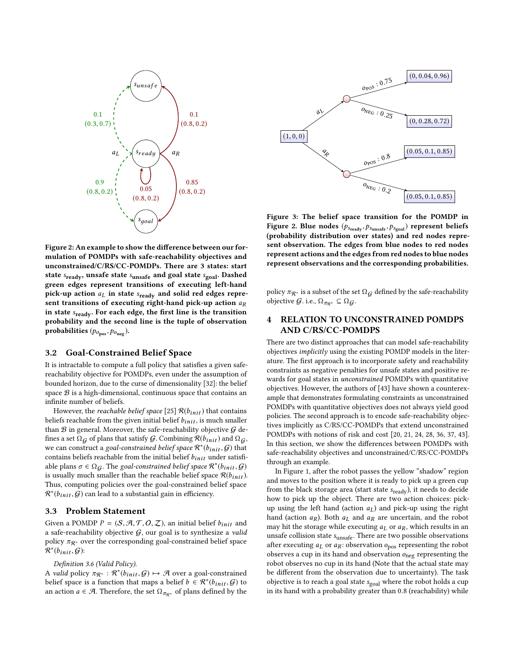<span id="page-3-1"></span>

Figure 2: An example to show the difference between our formulation of POMDPs with safe-reachability objectives and unconstrained/C/RS/CC-POMDPs. There are 3 states: start state  $s_{\text{ready}}$ , unsafe state  $s_{\text{unsafe}}$  and goal state  $s_{\text{goal}}$ . Dashed green edges represent transitions of executing left-hand pick-up action  $a_L$  in state  $s_{\text{ready}}$  and solid red edges represent transitions of executing right-hand pick-up action  $a_R$ in state  $s_{\text{ready}}$ . For each edge, the first line is the transition probability and the second line is the tuple of observation probabilities  $(p_{o_{\text{pos}}}, p_{o_{\text{neg}}}).$ 

#### 3.2 Goal-Constrained Belief Space

It is intractable to compute a full policy that satisfies a given safereachability objective for POMDPs, even under the assumption of bounded horizon, due to the curse of dimensionality [\[32\]](#page-8-43): the belief space  $B$  is a high-dimensional, continuous space that contains an infinite number of beliefs.

However, the *reachable belief space* [\[25\]](#page-8-11)  $\mathcal{R}(b_{init})$  that contains beliefs reachable from the given initial belief  $b_{init}$ , is much smaller than  $B$  in general. Moreover, the safe-reachability objective  $G$  defines a set  $\Omega$ <sub>G</sub> of plans that satisfy G. Combining  $\mathcal{R}(b_{init})$  and  $\Omega$ <sub>G</sub>, we can construct a goal-constrained belief space  $\mathcal{R}^*(b_{init}, \mathcal{G})$  that<br>contains beliefs reachable from the initial belief  $b_{i+1}$  under satisfies contains beliefs reachable from the initial belief  $b_{init}$  under satisfiable plans  $\sigma \in \Omega$ . The goal-constrained belief space  $\mathcal{R}^*(b_{init}, \mathcal{G})$ <br>is usually much smaller than the reachable belief space  $\mathcal{R}(b_{init}, \mathcal{G})$ is usually much smaller than the reachable belief space  $\mathcal{R}(b_{init})$ . Thus, computing policies over the goal-constrained belief space  $\mathcal{R}^*(b_{init}, \mathcal{G})$  can lead to a substantial gain in efficiency.

# 3.3 Problem Statement

Given a POMDP  $P = (S, A, T, O, Z)$ , an initial belief  $b_{init}$  and a safe-reachability objective  $G$ , our goal is to synthesize a valid policy  $\pi_{\mathcal{R}^*}$  over the corresponding goal-constrained belief space  $\mathcal{R}^*(b_{init}, \mathcal{G})$ :

#### <span id="page-3-3"></span>Definition 3.6 (Valid Policy).

A valid policy  $\pi_{\mathcal{R}^*}: \mathcal{R}^*(b_{init}, \mathcal{G}) \mapsto \mathcal{A}$  over a goal-constrained belief grace is a function that maps a belief  $b \in \mathcal{R}^*(b_1, \ldots, \mathcal{G})$  to belief space is a function that maps a belief  $b \in \mathcal{R}^*(b_{init}, \mathcal{G})$  to an action  $a \in \mathcal{A}$ . Therefore, the set O cof plans defined by the an action  $a \in \mathcal{A}$ . Therefore, the set  $\Omega_{\pi_{\mathcal{R}^*}}$  of plans defined by the

<span id="page-3-2"></span>

Figure 3: The belief space transition for the POMDP in Figure [2.](#page-3-1) Blue nodes  $(p_{s_{\text{ready}}}, p_{s_{\text{unsafe}}}, p_{s_{\text{goal}}})$  represent beliefs (probability distribution over states) and red nodes represent observation. The edges from blue nodes to red nodes represent actions and the edges from red nodes to blue nodes represent observations and the corresponding probabilities.

policy  $\pi_{\mathcal{R}^*}$  is a subset of the set  $\Omega_G$  defined by the safe-reachability objective  $G$ . i.e.,  $\Omega_{\pi_{\mathcal{R}^*}} \subseteq \Omega_G$ .

# <span id="page-3-0"></span>4 RELATION TO UNCONSTRAINED POMDPS AND C/RS/CC-POMDPS

There are two distinct approaches that can model safe-reachability objectives implicitly using the existing POMDP models in the literature. The first approach is to incorporate safety and reachability constraints as negative penalties for unsafe states and positive rewards for goal states in unconstrained POMDPs with quantitative objectives. However, the authors of [\[43\]](#page-8-15) have shown a counterexample that demonstrates formulating constraints as unconstrained POMDPs with quantitative objectives does not always yield good policies. The second approach is to encode safe-reachability objectives implicitly as C/RS/CC-POMDPs that extend unconstrained POMDPs with notions of risk and cost [\[20,](#page-8-29) [21,](#page-8-26) [24,](#page-8-27) [28,](#page-8-30) [36,](#page-8-28) [37,](#page-8-31) [43\]](#page-8-15). In this section, we show the differences between POMDPs with safe-reachability objectives and unconstrained/C/RS/CC-POMDPs through an example.

In Figure [1,](#page-0-0) after the robot passes the yellow "shadow" region and moves to the position where it is ready to pick up a green cup from the black storage area (start state s<sub>ready</sub>), it needs to decide how to pick up the object. There are two action choices: pickup using the left hand (action  $a_L$ ) and pick-up using the right hand (action  $a_R$ ). Both  $a_L$  and  $a_R$  are uncertain, and the robot may hit the storage while executing  $a<sub>L</sub>$  or  $a<sub>R</sub>$ , which results in an unsafe collision state s<sub>unsafe</sub>. There are two possible observations after executing  $a_L$  or  $a_R$ : observation  $o_{\text{pos}}$  representing the robot observes a cup in its hand and observation  $o_{\text{neg}}$  representing the robot observes no cup in its hand (Note that the actual state may be different from the observation due to uncertainty). The task objective is to reach a goal state  $s_{goal}$  where the robot holds a cup in its hand with a probability greater than <sup>0</sup>.<sup>8</sup> (reachability) while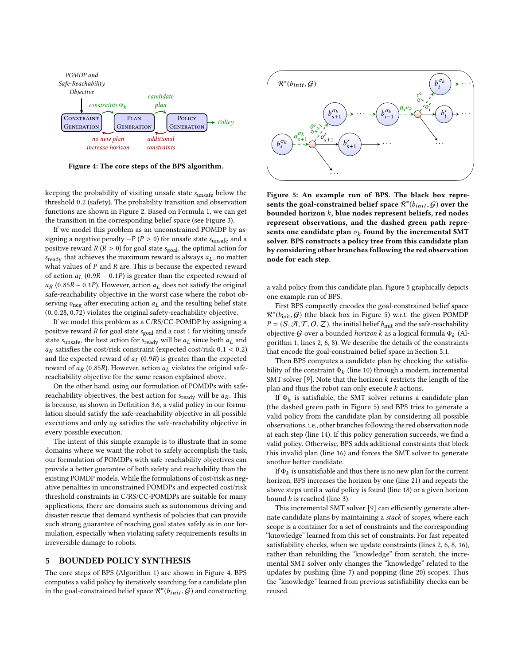<span id="page-4-0"></span>

Figure 4: The core steps of the BPS algorithm.

keeping the probability of visiting unsafe state <sup>s</sup>unsafe below the threshold <sup>0</sup>.<sup>2</sup> (safety). The probability transition and observation functions are shown in Figure [2.](#page-3-1) Based on Formula [1,](#page-2-0) we can get the transition in the corresponding belief space (see Figure [3\)](#page-3-2).

If we model this problem as an unconstrained POMDP by assigning a negative penalty  $-P$  ( $P > 0$ ) for unsafe state s<sub>unsafe</sub> and a positive reward  $R(R > 0)$  for goal state  $s_{\text{goal}}$ , the optimal action for  $s_{\text{ready}}$  that achieves the maximum reward is always  $a_L$ , no matter what values of  $P$  and  $R$  are. This is because the expected reward of action  $a<sub>L</sub>$  (0.9R – 0.1P) is greater than the expected reward of  $a_R$  (0.85R – 0.1P). However, action  $a_L$  does not satisfy the original safe-reachability objective in the worst case where the robot observing  $o_{\text{neg}}$  after executing action  $a_L$  and the resulting belief state (0, <sup>0</sup>.28, <sup>0</sup>.72) violates the original safety-reachability objective.

If we model this problem as a C/RS/CC-POMDP by assigning a positive reward  $R$  for goal state  $s_{\text{goal}}$  and a cost 1 for visiting unsafe state s<sub>unsafe</sub>, the best action for s<sub>ready</sub> will be  $a<sub>L</sub>$  since both  $a<sub>L</sub>$  and  $a_R$  satisfies the cost/risk constraint (expected cost/risk  $0.1 < 0.2$ ) and the expected reward of  $a_l$  (0.9R) is greater than the expected reward of  $a_R$  (0.85R). However, action  $a_L$  violates the original safereachability objective for the same reason explained above.

On the other hand, using our formulation of POMDPs with safereachability objectives, the best action for  $s_{\text{ready}}$  will be  $a_R$ . This is because, as shown in Definition [3.6,](#page-3-3) a valid policy in our formulation should satisfy the safe-reachability objective in all possible executions and only  $a_R$  satisfies the safe-reachability objective in every possible execution.

The intent of this simple example is to illustrate that in some domains where we want the robot to safely accomplish the task, our formulation of POMDPs with safe-reachability objectives can provide a better guarantee of both safety and reachability than the existing POMDP models. While the formulations of cost/risk as negative penalties in unconstrained POMDPs and expected cost/risk threshold constraints in C/RS/CC-POMDPs are suitable for many applications, there are domains such as autonomous driving and disaster rescue that demand synthesis of policies that can provide such strong guarantee of reaching goal states safely as in our formulation, especially when violating safety requirements results in irreversible damage to robots.

## 5 BOUNDED POLICY SYNTHESIS

The core steps of BPS (Algorithm [1\)](#page-5-0) are shown in Figure [4.](#page-4-0) BPS computes a valid policy by iteratively searching for a candidate plan in the goal-constrained belief space  $\mathcal{R}^*(b_{init}, \mathcal{G})$  and constructing

<span id="page-4-1"></span>

Figure 5: An example run of BPS. The black box represents the goal-constrained belief space  $\mathcal{R}^*(b_{init}, \mathcal{G})$  over the hounded borizon k blue nodes represent beliefs red nodes bounded horizon k, blue nodes represent beliefs, red nodes represent observations, and the dashed green path represents one candidate plan  $\sigma_k$  found by the incremental SMT<br>solver BPS constructs a policy tree from this candidate plan solver. BPS constructs a policy tree from this candidate plan by considering other branches following the red observation node for each step.

a valid policy from this candidate plan. Figure [5](#page-4-1) graphically depicts one example run of BPS.

First BPS compactly encodes the goal-constrained belief space  $\mathcal{R}^*(b_{\text{init}}, \mathcal{G})$  (the black box in Figure [5\)](#page-4-1) w.r.t. the given POMDP<br> $p - (S \mathcal{A} \mathcal{T} \mathcal{O} \mathcal{T})$  the initial belief  $b_{\text{init}}$  and the safe-reachability  $P = (S, A, T, O, Z)$ , the initial belief  $b<sub>init</sub>$  and the safe-reachability objective G over a bounded *horizon k* as a logical formula  $\Phi_k$  (Al-<br>gorithm 1 lines 2.6.8) We describe the details of the constraints gorithm [1,](#page-5-0) lines [2,](#page-5-1) [6,](#page-5-2) [8\)](#page-5-3). We describe the details of the constraints that encode the goal-constrained belief space in Section [5.1.](#page-5-4)

Then BPS computes a candidate plan by checking the satisfiability of the constraint  $\Phi_k$  (line [10\)](#page-5-5) through a modern, incremental<br>SMT solver [9]. Note that the horizon k restricts the length of the SMT solver [\[9\]](#page-8-24). Note that the horizon  $k$  restricts the length of the plan and thus the robot can only execute  $k$  actions.

If  $\Phi_k$  is satisfiable, the SMT solver returns a candidate plane a dashed green path in Figure 5) and RPS tries to generate a (the dashed green path in Figure [5\)](#page-4-1) and BPS tries to generate a valid policy from the candidate plan by considering all possible observations, i.e., other branches following the red observation node at each step (line [14\)](#page-5-6). If this policy generation succeeds, we find a valid policy. Otherwise, BPS adds additional constraints that block this invalid plan (line [16\)](#page-5-7) and forces the SMT solver to generate another better candidate.

If  $\Phi_k$  is unsatisfiable and thus there is no new plan for the current<br>rizon, BPS increases the horizon by one (line 21) and repeats the horizon, BPS increases the horizon by one (line [21\)](#page-5-8) and repeats the above steps until a valid policy is found (line [18\)](#page-5-9) or a given horizon bound h is reached (line [3\)](#page-5-10).

This incremental SMT solver [\[9\]](#page-8-24) can efficiently generate alternate candidate plans by maintaining a stack of scopes, where each scope is a container for a set of constraints and the corresponding "knowledge" learned from this set of constraints. For fast repeated satisfiability checks, when we update constraints (lines [2,](#page-5-1) [6,](#page-5-2) [8,](#page-5-3) [16\)](#page-5-7), rather than rebuilding the "knowledge" from scratch, the incremental SMT solver only changes the "knowledge" related to the updates by pushing (line [7\)](#page-5-11) and popping (line [20\)](#page-5-12) scopes. Thus the "knowledge" learned from previous satisfiability checks can be reused.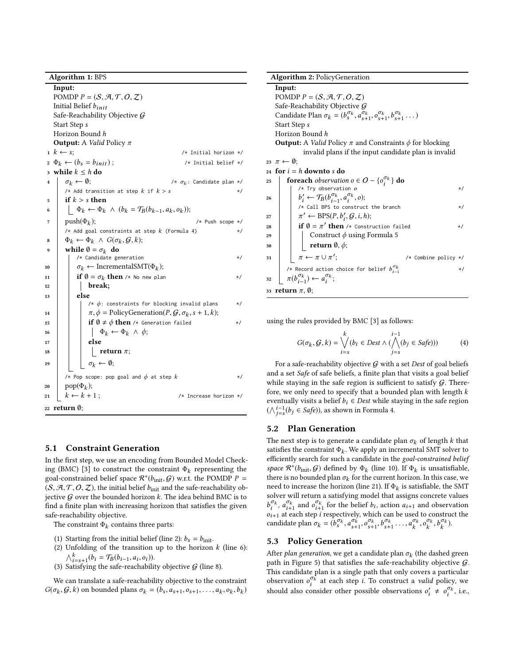Algorithm 1: BPS

<span id="page-5-11"></span><span id="page-5-10"></span><span id="page-5-5"></span><span id="page-5-3"></span><span id="page-5-2"></span><span id="page-5-1"></span>Input: POMDP  $P = (S, A, T, O, Z)$ Initial Belief <sup>b</sup>init Safe-Reachability Objective G Start Step s Horizon Bound h **Output:** A *Valid* Policy  $\pi$ <br>1  $k \leftarrow s$ ;  $/*$  Initial horizon  $*/$ <br>/\* Initial belief  $*/$  $_2 \Phi_k \leftarrow (b_s = b_{init});$ 3 while  $k \leq h$  do<br>4  $\sigma_k \leftarrow \emptyset$ ; 4  $\sigma_k \leftarrow \emptyset;$  /\*  $\sigma_k$ : Candidate plan \*/<br>  $\sigma_k$  : Add transition at step k if  $k > \varepsilon$ /\* Add transition at step k if k > s \*/  $\begin{array}{c|c}\n5 & \text{if } k > s \text{ then} \\
6 & \phi_L \leftarrow \Phi_L\n\end{array}$ 6  $\bigg| \bigg| \bigg| \Phi_k \leftarrow \Phi_k \land (b_k = \mathcal{T}_B(b_{k-1}, a_k, o_k));$  $push(\Phi_k);$ ); /\* Push scope \*/ /\* Add goal constraints at step  $k$  (Formula [4\)](#page-5-13) \*/  $\Phi_k \leftarrow \Phi_k \land G(\sigma_k, \mathcal{G}, k);$ <br>
subject  $\Phi_k = \sigma_k$  do while  $\emptyset = \sigma_k$  do  $/*$  Candidate generation  $*$  / 10  $\sigma_k \leftarrow \text{IncrementalSMT}(\Phi_k);$ <br>
if  $\theta = \sigma_k$ , then  $\mu_k$  lines also 11 if  $\emptyset = \sigma_k$  then /\* No new plan \*/<br>  $\downarrow$  healt:  $12$  break;  $13$  else /\*  $\phi$ : constraints for blocking invalid plans 14  $\pi, \phi = \text{PolicyGeneration}(P, G, \sigma_k, s+1, k);$ <br>  $\mathbf{f} \cdot \mathbf{g} + \phi$  then  $\psi$  considers field 15 **if**  $\emptyset \neq \emptyset$  **then** /\* Generation failed \*/<br>16 **i**  $\Phi_k \leftarrow \Phi_k \wedge \phi$ ; 16  $\left|\left|\left|\left|\right|\right|\right|\right|$   $\Phi_k \leftarrow \Phi_k \wedge \phi;$ <br> **else** else 18  $\left|\left|\left|\right|\right|\right|$  return  $\pi$ ;  $\sigma_k \leftarrow \emptyset;$ /\* Pop scope: pop goal and  $\phi$  at step  $k$  \*/ 20  $\operatorname{pop}(\Phi_k);$  $21 \mid k \leftarrow k + 1$ ; /\* Increase horizon \*/ <sup>22</sup> return ∅;

# <span id="page-5-12"></span><span id="page-5-9"></span><span id="page-5-8"></span><span id="page-5-7"></span><span id="page-5-6"></span><span id="page-5-4"></span><span id="page-5-0"></span>5.1 Constraint Generation

In the first step, we use an encoding from Bounded Model Check-ing (BMC) [\[3\]](#page-8-42) to construct the constraint  $\Phi_k$  representing the goal-constrained belief space  $\mathcal{R}^*(h_k \cup G)$  w.r.t. the POMDP  $P$  – goal-constrained belief space  $\mathcal{R}^*(b_{\text{init}}, \mathcal{G})$  w.r.t. the POMDP  $P = (S \mathcal{A} \mathcal{T} \mathcal{O} \mathcal{Z})$  the initial belief  $b_{\text{test}}$  and the safe-reachability ob  $(S, A, T, O, Z)$ , the initial belief  $b_{init}$  and the safe-reachability objective  $G$  over the bounded horizon k. The idea behind BMC is to find a finite plan with increasing horizon that satisfies the given safe-reachability objective.

The constraint  $\Phi_k$  contains three parts:

- (1) Starting from the initial belief (line [2\)](#page-5-1):  $b_s = b_{init}$ .
- (2) Unfolding of the transition up to the horizon  $k$  (line [6\)](#page-5-2):  $\bigwedge_{i=s+1}^{k} (b_i = \mathcal{T}_B(b_{i-1}, a_i, o_i)).$ <br>Satisfying the safe-reachabili
- (3) Satisfying the safe-reachability objective  $G$  (line [8\)](#page-5-3).

We can translate a safe-reachability objective to the constraint  $G(\sigma_k, \mathcal{G}, k)$  on bounded plans  $\sigma_k = (b_s, a_{s+1}, o_{s+1}, \dots, a_k, o_k, b_k)$ 

<span id="page-5-17"></span><span id="page-5-16"></span><span id="page-5-15"></span>Algorithm 2: PolicyGeneration Input: POMDP  $P = (S, A, T, O, Z)$ Safe-Reachability Objective G Candidate Plan  $\sigma_k = (b_s^{\sigma_k}, a_{s+1}^{\sigma_k}, o_{s+1}^{\sigma_k}, b_{s+1}^{\sigma_k}, \dots)$ Start Step s Start Step s Horizon Bound h **Output:** A *Valid* Policy  $\pi$  and Constraints  $\phi$  for blocking invalid plans if the input candidate plan is invalid 23  $\pi \leftarrow \emptyset$ ; 24 for  $i = h$  downto s do<br>25 foreach observation 25 **foreach** observation  $o \in O - \{o_i^{\sigma_k}\}\)$  **do**  $/*$  Try observation  $o$  \*/\* 26  $b$  $\gamma'_i \leftarrow \mathcal{T}_B(b^{\sigma_k}_{i-1}, a^{\sigma_k}_{i}, o);$ <br>\* Call BPS to construct  $v_i \leftarrow \negthickspace J_B(b_{i-1}^-, a_i^-, o);$ <br>/\* Call BPS to construct the branch \*/ 27  $\pi$  $\gamma' \leftarrow \text{BPS}(P, b_i', G, i, h);$ <br> $\beta = \pi'$  then  $\beta$  functions 28 if  $\emptyset = \pi'$  then /\* Construction failed \*/ 29 Construct  $\phi$  using Formula [5](#page-6-0)<br>30 **construct**  $\phi$ . 30 **return**  $\emptyset$ ,  $\phi$ ;<br>31  $\pi \leftarrow \pi \cup \pi'$ . 31  $\left[\begin{array}{c} \pi \leftarrow \pi \cup \pi' \end{array}\right]$ /\* Combine policy  $*/$ /\* Record action choice for belief  $b_{i-1}^{O_K}$ \*/  $\pi(b_{i-1}^{\sigma_k}) \leftarrow a_i^{\sigma_k};$ 33 return  $\pi$ ,  $\emptyset$ ;

<span id="page-5-22"></span><span id="page-5-21"></span><span id="page-5-20"></span><span id="page-5-19"></span><span id="page-5-18"></span><span id="page-5-14"></span>using the rules provided by BMC [\[3\]](#page-8-42) as follows:

<span id="page-5-13"></span>
$$
G(\sigma_k, \mathcal{G}, k) = \bigvee_{i=s}^k (b_i \in Dest \land (\bigwedge_{j=s}^{i-1} (b_j \in Safe))) \tag{4}
$$

For a safe-reachability objective  $G$  with a set Dest of goal beliefs and a set Safe of safe beliefs, a finite plan that visits a goal belief while staying in the safe region is sufficient to satisfy  $G$ . Therefore, we only need to specify that a bounded plan with length  $k$ eventually visits a belief  $b_i \in Dest$  while staying in the safe region ( $\bigwedge_{j=s}^{i-1}(b_j \in \text{Safe})$ ), as shown in Formula [4.](#page-5-13)

# 5.2 Plan Generation

The next step is to generate a candidate plan  $\sigma_k$  of length k that satisfies the constraint  $\Phi_k$ . We apply an incremental SMT solver to efficiently search for such a candidate in the soal-constrained helief efficiently search for such a candidate in the goal-constrained belief space  $\mathcal{R}^*(b_{\text{init}}, \mathcal{G})$  defined by  $\Phi_k$  (line [10\)](#page-5-5). If  $\Phi_k$  is unsatisfiable, there is no bounded plan  $\sigma_k$  for the current borizon. In this case, we there is no bounded plan  $\sigma_k$  for the current horizon. In this case, we need to increase the borizon (line 21) If  $\Phi_k$  is satisfiable, the SMT need to increase the horizon (line [21\)](#page-5-8). If  $\Phi_k$  is satisfiable, the SMT solver will return a satisfying model that assigns concrete values solver will return a satisfying model that assigns concrete values  $b_i^*$ ,  $a_{i+1}^*$  and  $o_{i+1}^*$  for the belief  $b_i$ , action  $a_{i+1}$  and observation  $o_{i+1}$  at each step *i* respectively, which can be used to construct the condidate plan  $\sigma_i = (b^{\sigma_k} \sigma_k^{\sigma_k} b^{\sigma_k} + b^{\sigma_k} \sigma_k^{\sigma_k} b^{\$  $\sigma_k^{\sigma_k}$ ,  $a_{i+1}^{\sigma_k}$  and  $o_{i+1}^{\sigma_k}$  for the belief  $b_i$ , action  $a_{i+1}$  and observation  $a_{i+2}$  and  $b_i$  and  $b_i$  and  $b_i$  and  $b_i$  and  $b_i$  and  $b_i$  and  $b_i$  and  $b_i$  and  $b_i$  and  $b_i$  and  $b_i$  and  $b_i$  and  $b_i$ candidate plan  $\sigma_k = (\overline{b}_s^{\sigma_k}, a_{s+1}^{\sigma_k}, o_{s+1}^{\sigma_k}, b_{s+1}^{\sigma_k}, \dots, a_k^{\sigma_k}, o_k^{\sigma_k}, b_k^{\sigma_k})$ .

# 5.3 Policy Generation

After *plan generation*, we get a candidate plan  $\sigma_k$  (the dashed green<br>path in Figure 5) that satisfies the safe-reachability objective G path in Figure [5\)](#page-4-1) that satisfies the safe-reachability objective  $G$ . This candidate plan is a single path that only covers a particular observation  $o_i^{\sigma_k}$  at each step *i*. To construct a *valid* policy, we should also aggregate a then negative absentations  $a' + a^{\sigma_k}$  i.e. should also consider other possible observations  $o'_i \neq o_i^{\sigma_k}$ , i.e.,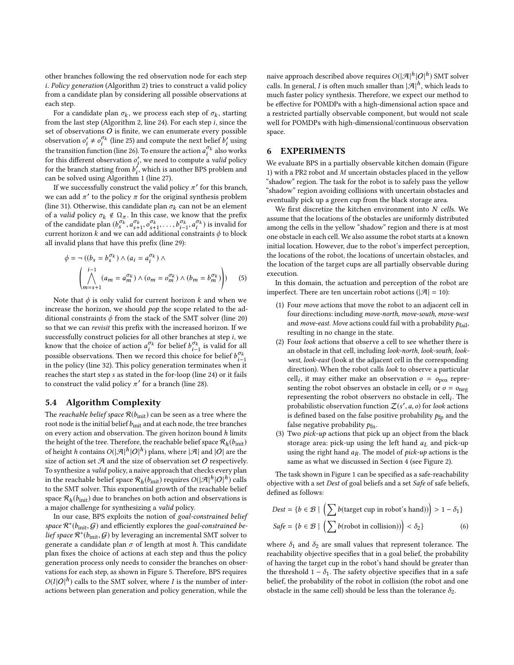other branches following the red observation node for each step i. Policy generation (Algorithm [2\)](#page-5-14) tries to construct a valid policy from a candidate plan by considering all possible observations at each step.

For a candidate plan  $\sigma_k$ , we process each step of  $\sigma_k$ , starting m the last step (Algorithm 2, line 24). For each step *i* since the from the last step (Algorithm [2,](#page-5-14) line [24\)](#page-5-15). For each step i, since the set of observations  $O$  is finite, we can enumerate every possible observation  $o'_i \neq o_i^{\sigma_k}$  (line [25\)](#page-5-16) and compute the next belief  $b'_i$  using<br>the transition function (line 26). To ensume the estimate  $c^{g_k}$  also used the transition function (line [26\)](#page-5-17). To ensure the action  $a_l^{\sigma_k}$  also works<br>for this different observation of we need to compute a valid policy for this different observation  $o'_i$ , we need to compute a *valid* policy<br>for the branch starting from h<sup>'</sup>, which is another BPS problem and for the branch starting from  $b_i^j$ , which is another BPS problem and<br>can be solved using Algorithm 1 (line 27) i can be solved using Algorithm [1](#page-5-0) (line [27\)](#page-5-18).

If we successfully construct the valid policy  $\pi'$  for this branch,<br>can add  $\pi'$  to the policy  $\pi$  for the original synthesis problem we can add  $\pi'$  to the policy  $\pi$  for the original synthesis problem<br>(line 31) Otherwise, this condidate plan  $\pi$ , can not be an element (line [31\)](#page-5-19). Otherwise, this candidate plan  $\sigma_k$  can not be an element<br>of a valid policy  $\sigma_k \notin \Omega$ . In this case, we know that the prefix of a *valid* policy  $\sigma_k \notin \Omega_{\pi}$ . In this case, we know that the prefix of the candidate plan  $(b_5^{\sigma_k}, a_{s+1}^{\sigma_k}, o_{s+1}^{\sigma_k}, \ldots, b_{i-1}^{\sigma_k}, a_i^{\sigma_k})$  is invalid for<br>current horizon k and we can add additional constraints  $\phi$  to block current horizon k and we can add additional constraints  $\phi$  to block<br>all involid plane that have this prefix (line 20). all invalid plans that have this prefix (line [29\)](#page-5-20):

$$
\phi = \neg ((b_s = b_s^{\sigma_k}) \land (a_i = a_i^{\sigma_k}) \land \n\left(\bigwedge_{m=s+1}^{i-1} (a_m = a_m^{\sigma_k}) \land (o_m = o_m^{\sigma_k}) \land (b_m = b_m^{\sigma_k})\right)
$$
\n(5)

Note that  $\phi$  is only valid for current horizon k and when we increase the horizon, we should pop the scope related to the additional constraints  $\phi$  from the stack of the SMT solver (line [20\)](#page-5-12) so that we can revisit this prefix with the increased horizon. If we successfully construct policies for all other branches at step i, we know that the choice of action  $a_i^{\sigma_k}$  for belief  $b_{i-1}^{\sigma_k}$  is valid for all<br>possible observations. Then we record this choice for belief  $b^{\sigma_k}$ possible observations. Then we record this choice for belief  $b_i^{\sigma_k}$ <br>in the policy (line 32). This policy generation terminates when possible observations. Then we record this choice for belief  $b_{i-1}$ <br>in the policy (line [32\)](#page-5-21). This policy generation terminates when it reaches the start step s as stated in the for-loop (line [24\)](#page-5-15) or it fails to construct the valid policy  $\pi'$  for a branch (line [28\)](#page-5-22).

#### <span id="page-6-1"></span>5.4 Algorithm Complexity

The reachable belief space  $\mathcal{R}(b_{\text{init}})$  can be seen as a tree where the root node is the initial belief  $b_{\rm init}$  and at each node, the tree branches on every action and observation. The given horizon bound  $h$  limits the height of the tree. Therefore, the reachable belief space  $\mathcal{R}_h(b_{\text{init}})$ <br>of beight h contains  $O(|\mathcal{A}|^h)$  plane, where  $|\mathcal{A}|$  and  $|O|$  are the of height h contains  $O(|\mathcal{A}|^h|O|^h)$  plans, where  $|\mathcal{A}|$  and  $|O|$  are the size of observation set O respectively size of action set  $A$  and the size of observation set  $O$  respectively. To synthesize a valid policy, a naive approach that checks every plan in the reachable belief space  $\mathcal{R}_h(b_{\text{init}})$  requires  $O(|\mathcal{A}|^h|O|^h)$  calls<br>to the SMT solver. This exponential growth of the reachable belief to the SMT solver. This exponential growth of the reachable belief space  $\mathcal{R}_h(b_{\text{init}})$  due to branches on both action and observations is<br>a major challenge for synthesizing a *valid* policy a major challenge for synthesizing a valid policy.

In our case, BPS exploits the notion of goal-constrained belief space  $\mathcal{R}^*(b_{\text{init}}, \mathcal{G})$  and efficiently explores the goal-constrained be-<br>lief space  $\mathcal{R}^*(b_{\text{init}}, \mathcal{G})$  by leveraging an incremental SMT solver to lief space  $\mathcal{R}^*(b_{\text{init}}, \mathcal{G})$  by leveraging an incremental SMT solver to generate a candidate plan  $\sigma$  of length at most h. This candidate generate a candidate plan  $\sigma$  of length at most h. This candidate plan fixes the choice of actions at each step and thus the policy generation process only needs to consider the branches on observations for each step, as shown in Figure [5.](#page-4-1) Therefore, BPS requires  $O(I|O|^h)$  calls to the SMT solver, where I is the number of inter-<br>actions between plan generation and policy generation, while the actions between plan generation and policy generation, while the

naive approach described above requires  $O(|\mathcal{A}|^h|O|^h)$  SMT solver<br>calls. In gaparal, *L* is often much smaller than  $|\mathcal{A}|^h$ , which loads to calls. In general, I is often much smaller than  $|\mathcal{A}|^h$ , which leads to much factor policy synthesis. Therefore, we expect our method to much faster policy synthesis. Therefore, we expect our method to be effective for POMDPs with a high-dimensional action space and a restricted partially observable component, but would not scale well for POMDPs with high-dimensional/continuous observation space.

# 6 EXPERIMENTS

We evaluate BPS in a partially observable kitchen domain (Figure [1\)](#page-0-0) with a PR2 robot and M uncertain obstacles placed in the yellow "shadow" region. The task for the robot is to safely pass the yellow "shadow" region avoiding collisions with uncertain obstacles and eventually pick up a green cup from the black storage area.

We first discretize the kitchen environment into  $N$  cells. We assume that the locations of the obstacles are uniformly distributed among the cells in the yellow "shadow" region and there is at most one obstacle in each cell. We also assume the robot starts at a known initial location. However, due to the robot's imperfect perception, the locations of the robot, the locations of uncertain obstacles, and the location of the target cups are all partially observable during execution.

<span id="page-6-0"></span>In this domain, the actuation and perception of the robot are imperfect. There are ten uncertain robot actions ( $|\mathcal{A}| = 10$ ):

- (1) Four move actions that move the robot to an adjacent cell in four directions: including move-north, move-south, move-west and move-east. Move actions could fail with a probability  $p_{\text{fail}}$ , resulting in no change in the state.
- (2) Four look actions that observe a cell to see whether there is an obstacle in that cell, including look-north, look-south, lookwest, look-east (look at the adjacent cell in the corresponding direction). When the robot calls look to observe a particular cell<sub>i</sub>, it may either make an observation  $o = o_{\text{pos}}$  repre-<br>senting the robot observes an obstacle in cell, or  $o = o$ senting the robot observes an obstacle in cell<sub>i</sub> or  $o = o_{\text{neg}}$ <br>representing the robot observers no obstacle in cell. The representing the robot observers no obstacle in cell. The probabilistic observation function  $Z(s', a, o)$  for look actions<br>is defined based on the false positive probability  $a_0$  and the is defined based on the false positive probability  $p_{\text{fp}}$  and the false negative probability  $p_{fn}$ .
- (3) Two  $pick$ -up actions that pick up an object from the black storage area: pick-up using the left hand  $a<sub>L</sub>$  and pick-up using the right hand  $a_R$ . The model of *pick-up* actions is the same as what we discussed in Section [4](#page-3-0) (see Figure [2\)](#page-3-1).

The task shown in Figure [1](#page-0-0) can be specified as a safe-reachability objective with a set Dest of goal beliefs and a set Safe of safe beliefs, defined as follows:

$$
Dest = \{b \in \mathcal{B} \mid \left(\sum b(\text{target cup in robot's hand})\right) > 1 - \delta_1\}
$$
\n
$$
Safe = \{b \in \mathcal{B} \mid \left(\sum b(\text{robot in collision})\right) < \delta_2\} \tag{6}
$$

where  $\delta_1$  and  $\delta_2$  are small values that represent tolerance. The reachability objective specifies that in a goal belief, the probability of having the target cup in the robot's hand should be greater than the threshold  $1 - \delta_1$ . The safety objective specifies that in a safe belief, the probability of the robot in collision (the robot and one obstacle in the same cell) should be less than the tolerance  $\delta_2$ .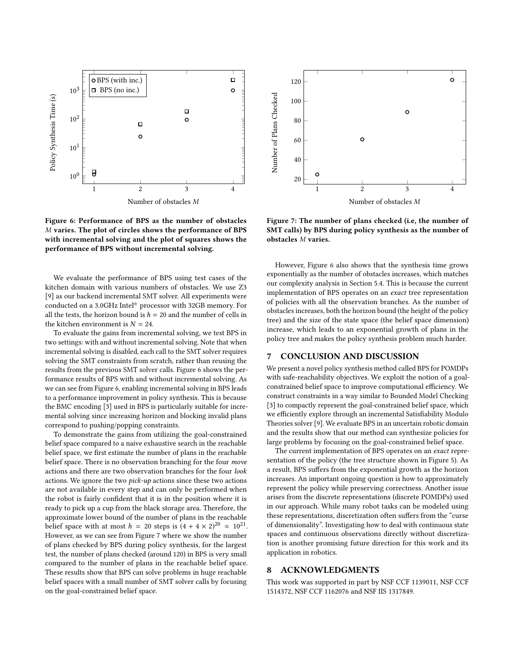<span id="page-7-0"></span>

Figure 6: Performance of BPS as the number of obstacles M varies. The plot of circles shows the performance of BPS with incremental solving and the plot of squares shows the performance of BPS without incremental solving.

We evaluate the performance of BPS using test cases of the kitchen domain with various numbers of obstacles. We use Z3 [\[9\]](#page-8-24) as our backend incremental SMT solver. All experiments were conducted on a 3.0GHz Intel® processor with 32GB memory. For all the tests, the horizon bound is  $h = 20$  and the number of cells in the kitchen environment is  $N = 24$ .

To evaluate the gains from incremental solving, we test BPS in two settings: with and without incremental solving. Note that when incremental solving is disabled, each call to the SMT solver requires solving the SMT constraints from scratch, rather than reusing the results from the previous SMT solver calls. Figure [6](#page-7-0) shows the performance results of BPS with and without incremental solving. As we can see from Figure [6,](#page-7-0) enabling incremental solving in BPS leads to a performance improvement in policy synthesis. This is because the BMC encoding [\[3\]](#page-8-42) used in BPS is particularly suitable for incremental solving since increasing horizon and blocking invalid plans correspond to pushing/popping constraints.

To demonstrate the gains from utilizing the goal-constrained belief space compared to a naive exhaustive search in the reachable belief space, we first estimate the number of plans in the reachable belief space. There is no observation branching for the four move actions and there are two observation branches for the four look actions. We ignore the two pick-up actions since these two actions are not available in every step and can only be performed when the robot is fairly confident that it is in the position where it is ready to pick up a cup from the black storage area. Therefore, the approximate lower bound of the number of plans in the reachable belief space with at most  $h = 20$  steps is  $(4 + 4 \times 2)^{20} \approx 10^{21}$ .<br>However as we can see from Eigure 7 where we show the number However, as we can see from Figure [7](#page-7-1) where we show the number of plans checked by BPS during policy synthesis, for the largest test, the number of plans checked (around 120) in BPS is very small compared to the number of plans in the reachable belief space. These results show that BPS can solve problems in huge reachable belief spaces with a small number of SMT solver calls by focusing on the goal-constrained belief space.

<span id="page-7-1"></span>

Figure 7: The number of plans checked (i.e, the number of SMT calls) by BPS during policy synthesis as the number of obstacles M varies.

However, Figure [6](#page-7-0) also shows that the synthesis time grows exponentially as the number of obstacles increases, which matches our complexity analysis in Section [5.4.](#page-6-1) This is because the current implementation of BPS operates on an exact tree representation of policies with all the observation branches. As the number of obstacles increases, both the horizon bound (the height of the policy tree) and the size of the state space (the belief space dimension) increase, which leads to an exponential growth of plans in the policy tree and makes the policy synthesis problem much harder.

# 7 CONCLUSION AND DISCUSSION

We present a novel policy synthesis method called BPS for POMDPs with safe-reachability objectives. We exploit the notion of a goalconstrained belief space to improve computational efficiency. We construct constraints in a way similar to Bounded Model Checking [\[3\]](#page-8-42) to compactly represent the goal-constrained belief space, which we efficiently explore through an incremental Satisfiability Modulo Theories solver [\[9\]](#page-8-24). We evaluate BPS in an uncertain robotic domain and the results show that our method can synthesize policies for large problems by focusing on the goal-constrained belief space.

The current implementation of BPS operates on an exact representation of the policy (the tree structure shown in Figure [5\)](#page-4-1). As a result, BPS suffers from the exponential growth as the horizon increases. An important ongoing question is how to approximately represent the policy while preserving correctness. Another issue arises from the discrete representations (discrete POMDPs) used in our approach. While many robot tasks can be modeled using these representations, discretization often suffers from the "curse of dimensionality". Investigating how to deal with continuous state spaces and continuous observations directly without discretization is another promising future direction for this work and its application in robotics.

## 8 ACKNOWLEDGMENTS

This work was supported in part by NSF CCF 1139011, NSF CCF 1514372, NSF CCF 1162076 and NSF IIS 1317849.